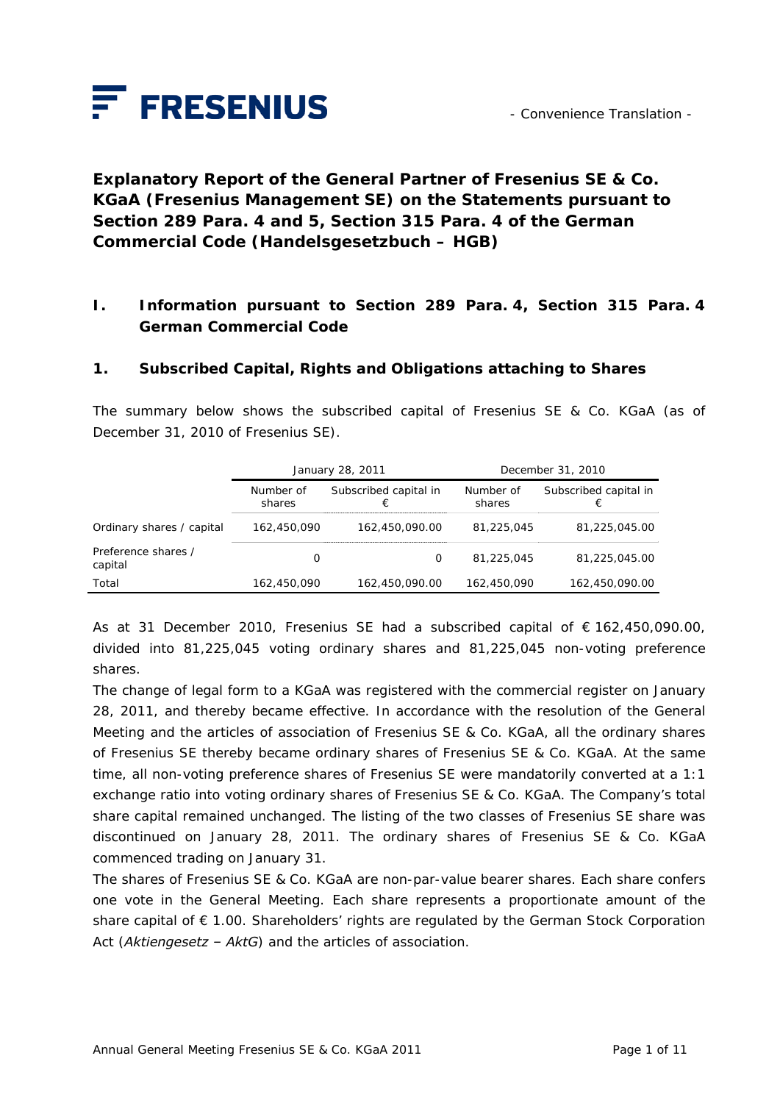

**Explanatory Report of the General Partner of Fresenius SE & Co. KGaA (Fresenius Management SE) on the Statements pursuant to Section 289 Para. 4 and 5, Section 315 Para. 4 of the German Commercial Code (***Handelsgesetzbuch – HGB***)** 

## **I. Information pursuant to Section 289 Para. 4, Section 315 Para. 4 German Commercial Code**

### **1. Subscribed Capital, Rights and Obligations attaching to Shares**

The summary below shows the subscribed capital of Fresenius SE & Co. KGaA (as of December 31, 2010 of Fresenius SE).

|                                | January 28, 2011    |                            | December 31, 2010   |                            |
|--------------------------------|---------------------|----------------------------|---------------------|----------------------------|
|                                | Number of<br>shares | Subscribed capital in<br>€ | Number of<br>shares | Subscribed capital in<br>€ |
| Ordinary shares / capital      | 162,450,090         | 162.450.090.00             | 81,225,045          | 81.225.045.00              |
| Preference shares /<br>capital | O                   | 0                          | 81,225,045          | 81,225,045.00              |
| Total                          | 162,450,090         | 162,450,090.00             | 162,450,090         | 162,450,090.00             |

As at 31 December 2010, Fresenius SE had a subscribed capital of € 162,450,090.00, divided into 81,225,045 voting ordinary shares and 81,225,045 non-voting preference shares.

The change of legal form to a KGaA was registered with the commercial register on January 28, 2011, and thereby became effective. In accordance with the resolution of the General Meeting and the articles of association of Fresenius SE & Co. KGaA, all the ordinary shares of Fresenius SE thereby became ordinary shares of Fresenius SE & Co. KGaA. At the same time, all non-voting preference shares of Fresenius SE were mandatorily converted at a 1:1 exchange ratio into voting ordinary shares of Fresenius SE & Co. KGaA. The Company's total share capital remained unchanged. The listing of the two classes of Fresenius SE share was discontinued on January 28, 2011. The ordinary shares of Fresenius SE & Co. KGaA commenced trading on January 31.

The shares of Fresenius SE & Co. KGaA are non-par-value bearer shares. Each share confers one vote in the General Meeting. Each share represents a proportionate amount of the share capital of € 1.00. Shareholders' rights are regulated by the German Stock Corporation Act (*Aktiengesetz – AktG*) and the articles of association.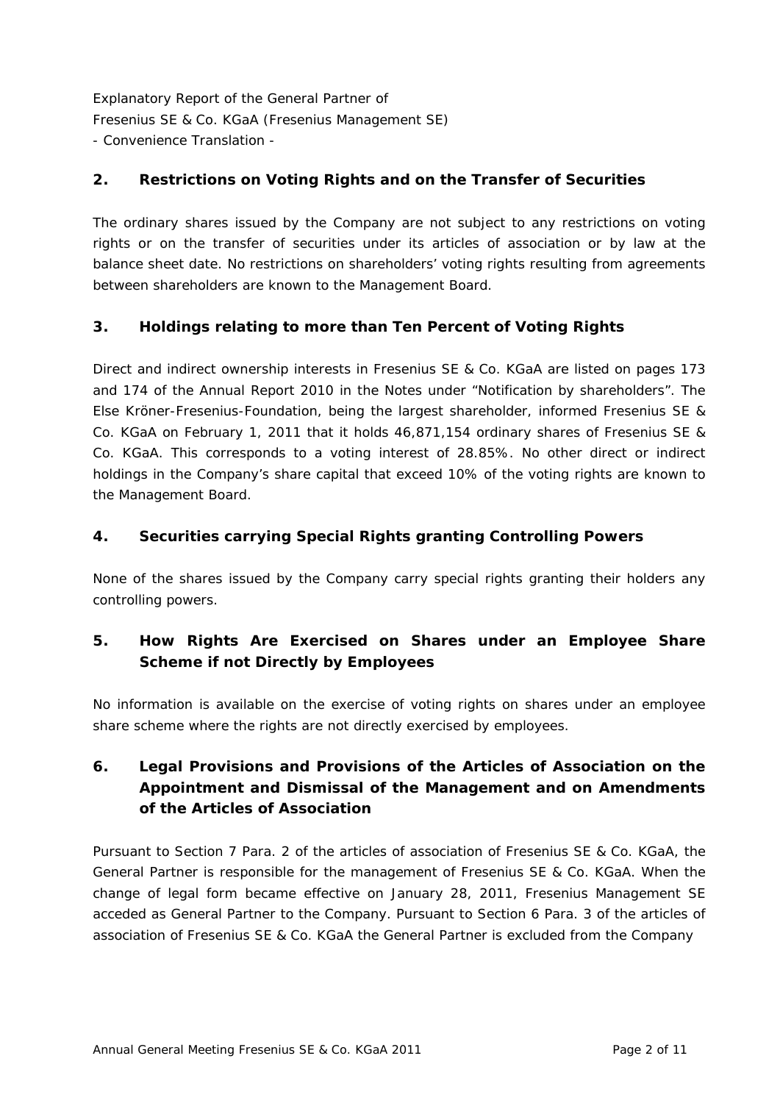## **2. Restrictions on Voting Rights and on the Transfer of Securities**

The ordinary shares issued by the Company are not subject to any restrictions on voting rights or on the transfer of securities under its articles of association or by law at the balance sheet date. No restrictions on shareholders' voting rights resulting from agreements between shareholders are known to the Management Board.

## **3. Holdings relating to more than Ten Percent of Voting Rights**

Direct and indirect ownership interests in Fresenius SE & Co. KGaA are listed on pages 173 and 174 of the Annual Report 2010 in the Notes under "Notification by shareholders". The Else Kröner-Fresenius-Foundation, being the largest shareholder, informed Fresenius SE & Co. KGaA on February 1, 2011 that it holds 46,871,154 ordinary shares of Fresenius SE & Co. KGaA. This corresponds to a voting interest of 28.85%. No other direct or indirect holdings in the Company's share capital that exceed 10% of the voting rights are known to the Management Board.

### **4. Securities carrying Special Rights granting Controlling Powers**

None of the shares issued by the Company carry special rights granting their holders any controlling powers.

# **5. How Rights Are Exercised on Shares under an Employee Share Scheme if not Directly by Employees**

No information is available on the exercise of voting rights on shares under an employee share scheme where the rights are not directly exercised by employees.

# **6. Legal Provisions and Provisions of the Articles of Association on the Appointment and Dismissal of the Management and on Amendments of the Articles of Association**

Pursuant to Section 7 Para. 2 of the articles of association of Fresenius SE & Co. KGaA, the General Partner is responsible for the management of Fresenius SE & Co. KGaA. When the change of legal form became effective on January 28, 2011, Fresenius Management SE acceded as General Partner to the Company. Pursuant to Section 6 Para. 3 of the articles of association of Fresenius SE & Co. KGaA the General Partner is excluded from the Company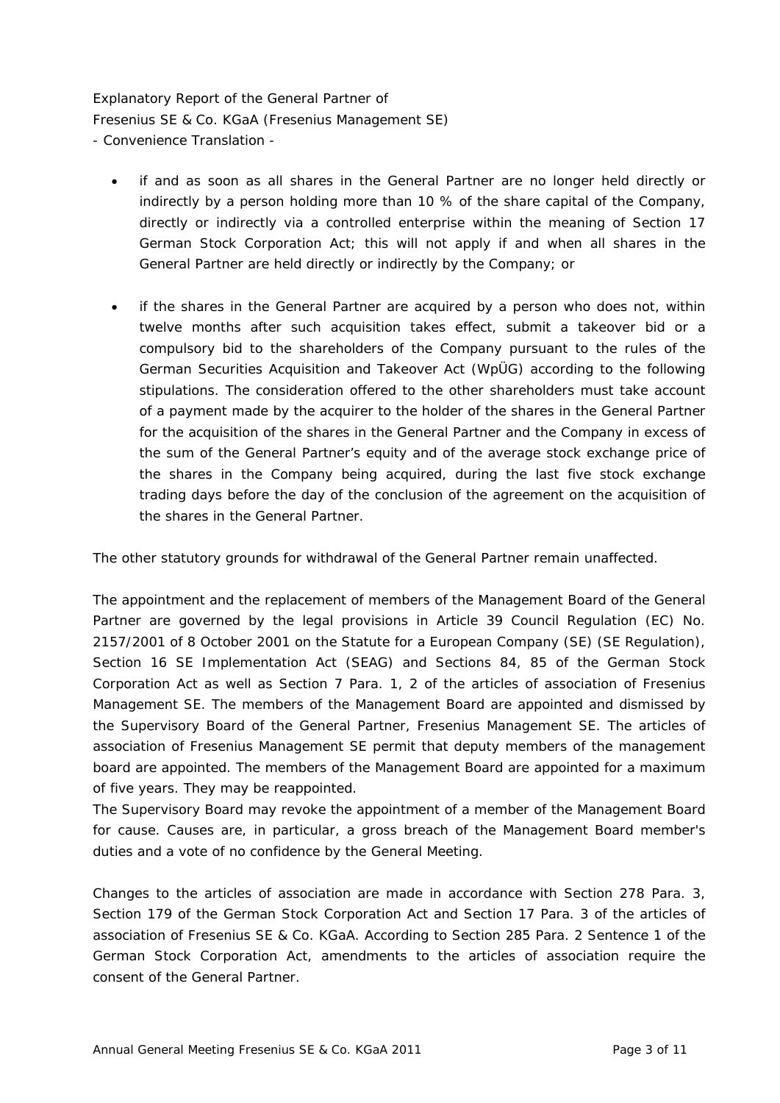- if and as soon as all shares in the General Partner are no longer held directly or indirectly by a person holding more than 10 % of the share capital of the Company, directly or indirectly via a controlled enterprise within the meaning of Section 17 German Stock Corporation Act; this will not apply if and when all shares in the General Partner are held directly or indirectly by the Company; or
- if the shares in the General Partner are acquired by a person who does not, within twelve months after such acquisition takes effect, submit a takeover bid or a compulsory bid to the shareholders of the Company pursuant to the rules of the German Securities Acquisition and Takeover Act (WpÜG) according to the following stipulations. The consideration offered to the other shareholders must take account of a payment made by the acquirer to the holder of the shares in the General Partner for the acquisition of the shares in the General Partner and the Company in excess of the sum of the General Partner's equity and of the average stock exchange price of the shares in the Company being acquired, during the last five stock exchange trading days before the day of the conclusion of the agreement on the acquisition of the shares in the General Partner.

The other statutory grounds for withdrawal of the General Partner remain unaffected.

The appointment and the replacement of members of the Management Board of the General Partner are governed by the legal provisions in Article 39 Council Regulation (EC) No. 2157/2001 of 8 October 2001 on the Statute for a European Company (SE) (SE Regulation), Section 16 SE Implementation Act (SEAG) and Sections 84, 85 of the German Stock Corporation Act as well as Section 7 Para. 1, 2 of the articles of association of Fresenius Management SE. The members of the Management Board are appointed and dismissed by the Supervisory Board of the General Partner, Fresenius Management SE. The articles of association of Fresenius Management SE permit that deputy members of the management board are appointed. The members of the Management Board are appointed for a maximum of five years. They may be reappointed.

The Supervisory Board may revoke the appointment of a member of the Management Board for cause. Causes are, in particular, a gross breach of the Management Board member's duties and a vote of no confidence by the General Meeting.

Changes to the articles of association are made in accordance with Section 278 Para. 3, Section 179 of the German Stock Corporation Act and Section 17 Para. 3 of the articles of association of Fresenius SE & Co. KGaA. According to Section 285 Para. 2 Sentence 1 of the German Stock Corporation Act, amendments to the articles of association require the consent of the General Partner.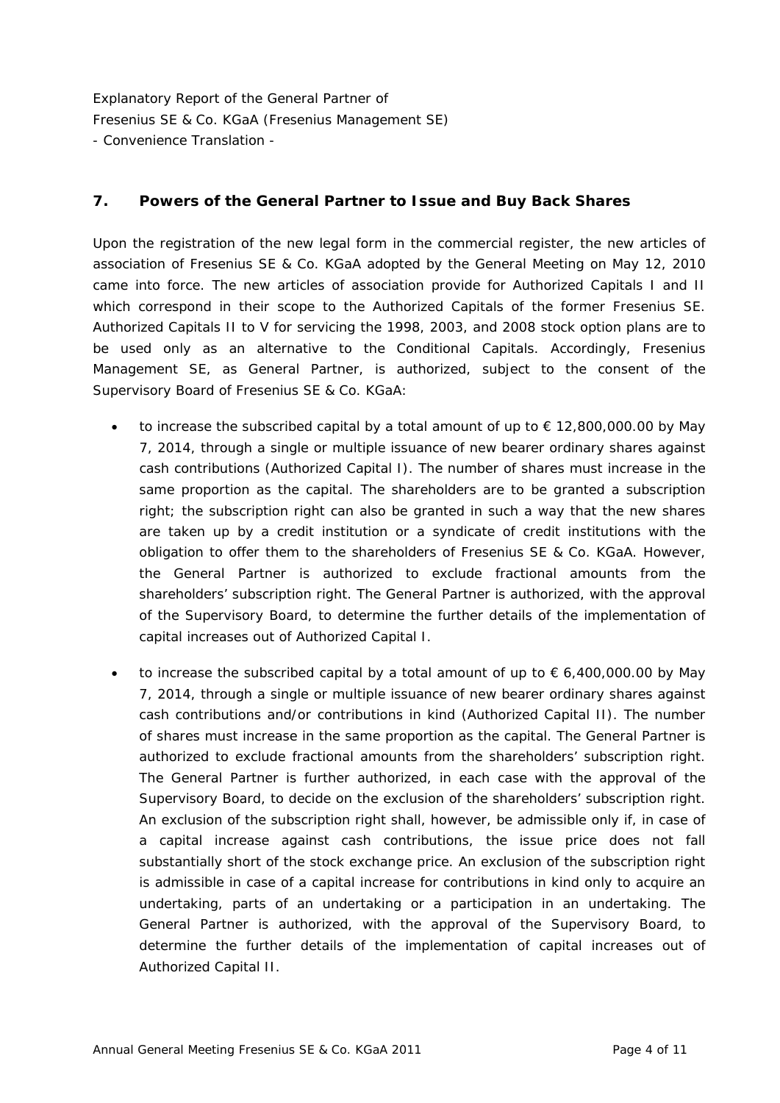### **7. Powers of the General Partner to Issue and Buy Back Shares**

Upon the registration of the new legal form in the commercial register, the new articles of association of Fresenius SE & Co. KGaA adopted by the General Meeting on May 12, 2010 came into force. The new articles of association provide for Authorized Capitals I and II which correspond in their scope to the Authorized Capitals of the former Fresenius SE. Authorized Capitals II to V for servicing the 1998, 2003, and 2008 stock option plans are to be used only as an alternative to the Conditional Capitals. Accordingly, Fresenius Management SE, as General Partner, is authorized, subject to the consent of the Supervisory Board of Fresenius SE & Co. KGaA:

- to increase the subscribed capital by a total amount of up to  $\epsilon$  12,800,000.00 by May 7, 2014, through a single or multiple issuance of new bearer ordinary shares against cash contributions (Authorized Capital I). The number of shares must increase in the same proportion as the capital. The shareholders are to be granted a subscription right; the subscription right can also be granted in such a way that the new shares are taken up by a credit institution or a syndicate of credit institutions with the obligation to offer them to the shareholders of Fresenius SE & Co. KGaA. However, the General Partner is authorized to exclude fractional amounts from the shareholders' subscription right. The General Partner is authorized, with the approval of the Supervisory Board, to determine the further details of the implementation of capital increases out of Authorized Capital I.
- to increase the subscribed capital by a total amount of up to  $\epsilon$  6,400,000.00 by May 7, 2014, through a single or multiple issuance of new bearer ordinary shares against cash contributions and/or contributions in kind (Authorized Capital II). The number of shares must increase in the same proportion as the capital. The General Partner is authorized to exclude fractional amounts from the shareholders' subscription right. The General Partner is further authorized, in each case with the approval of the Supervisory Board, to decide on the exclusion of the shareholders' subscription right. An exclusion of the subscription right shall, however, be admissible only if, in case of a capital increase against cash contributions, the issue price does not fall substantially short of the stock exchange price. An exclusion of the subscription right is admissible in case of a capital increase for contributions in kind only to acquire an undertaking, parts of an undertaking or a participation in an undertaking. The General Partner is authorized, with the approval of the Supervisory Board, to determine the further details of the implementation of capital increases out of Authorized Capital II.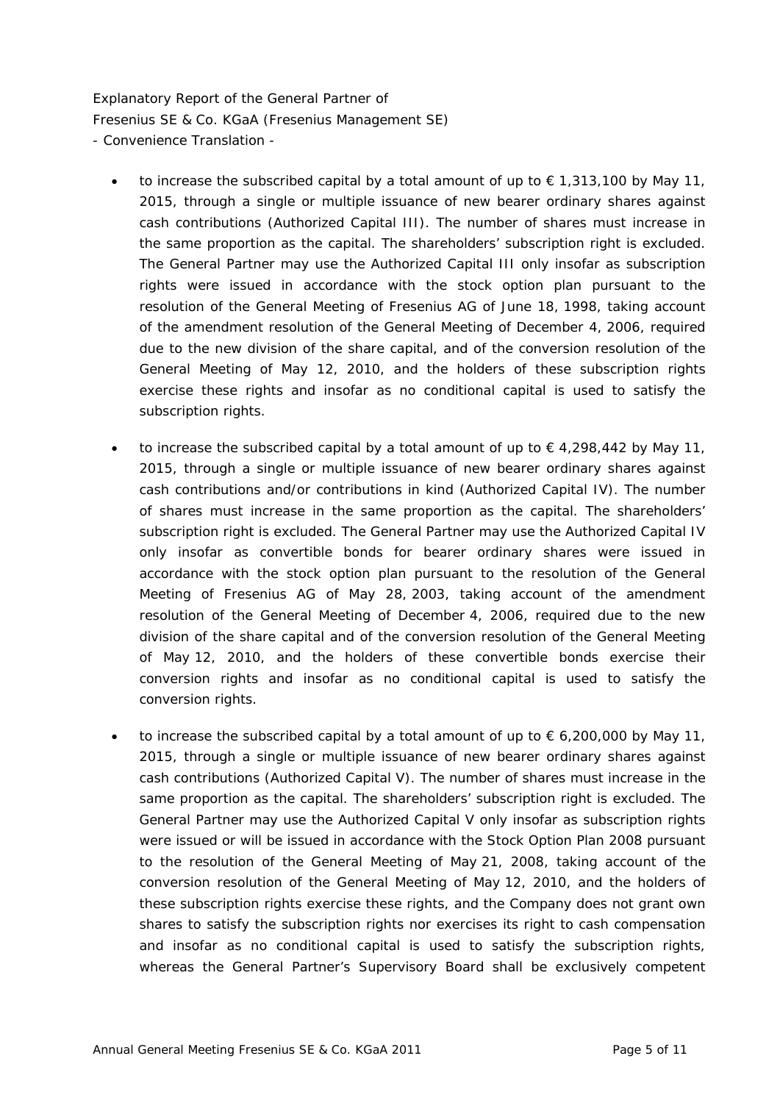- to increase the subscribed capital by a total amount of up to  $\epsilon$  1,313,100 by May 11, 2015, through a single or multiple issuance of new bearer ordinary shares against cash contributions (Authorized Capital III). The number of shares must increase in the same proportion as the capital. The shareholders' subscription right is excluded. The General Partner may use the Authorized Capital III only insofar as subscription rights were issued in accordance with the stock option plan pursuant to the resolution of the General Meeting of Fresenius AG of June 18, 1998, taking account of the amendment resolution of the General Meeting of December 4, 2006, required due to the new division of the share capital, and of the conversion resolution of the General Meeting of May 12, 2010, and the holders of these subscription rights exercise these rights and insofar as no conditional capital is used to satisfy the subscription rights.
- to increase the subscribed capital by a total amount of up to  $\in$  4,298,442 by May 11, 2015, through a single or multiple issuance of new bearer ordinary shares against cash contributions and/or contributions in kind (Authorized Capital IV). The number of shares must increase in the same proportion as the capital. The shareholders' subscription right is excluded. The General Partner may use the Authorized Capital IV only insofar as convertible bonds for bearer ordinary shares were issued in accordance with the stock option plan pursuant to the resolution of the General Meeting of Fresenius AG of May 28, 2003, taking account of the amendment resolution of the General Meeting of December 4, 2006, required due to the new division of the share capital and of the conversion resolution of the General Meeting of May 12, 2010, and the holders of these convertible bonds exercise their conversion rights and insofar as no conditional capital is used to satisfy the conversion rights.
- to increase the subscribed capital by a total amount of up to  $\epsilon$  6,200,000 by May 11, 2015, through a single or multiple issuance of new bearer ordinary shares against cash contributions (Authorized Capital V). The number of shares must increase in the same proportion as the capital. The shareholders' subscription right is excluded. The General Partner may use the Authorized Capital V only insofar as subscription rights were issued or will be issued in accordance with the Stock Option Plan 2008 pursuant to the resolution of the General Meeting of May 21, 2008, taking account of the conversion resolution of the General Meeting of May 12, 2010, and the holders of these subscription rights exercise these rights, and the Company does not grant own shares to satisfy the subscription rights nor exercises its right to cash compensation and insofar as no conditional capital is used to satisfy the subscription rights, whereas the General Partner's Supervisory Board shall be exclusively competent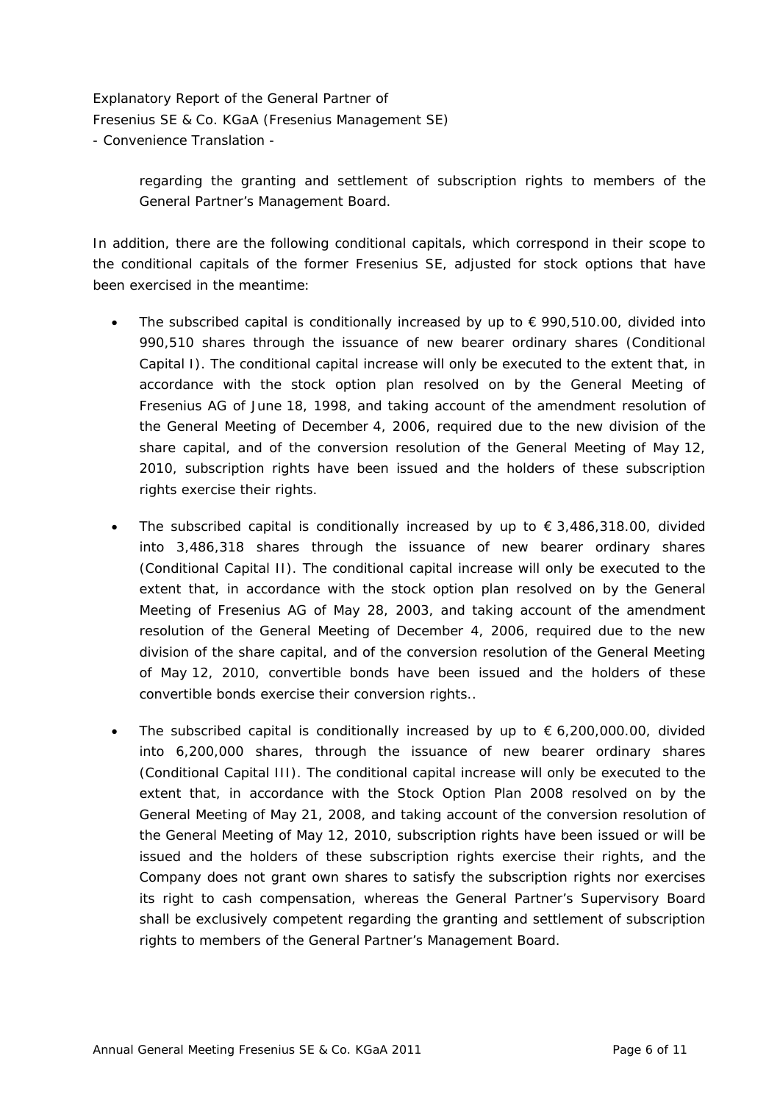> regarding the granting and settlement of subscription rights to members of the General Partner's Management Board.

In addition, there are the following conditional capitals, which correspond in their scope to the conditional capitals of the former Fresenius SE, adjusted for stock options that have been exercised in the meantime:

- The subscribed capital is conditionally increased by up to  $\epsilon$  990,510.00, divided into 990,510 shares through the issuance of new bearer ordinary shares (Conditional Capital I). The conditional capital increase will only be executed to the extent that, in accordance with the stock option plan resolved on by the General Meeting of Fresenius AG of June 18, 1998, and taking account of the amendment resolution of the General Meeting of December 4, 2006, required due to the new division of the share capital, and of the conversion resolution of the General Meeting of May 12, 2010, subscription rights have been issued and the holders of these subscription rights exercise their rights.
- The subscribed capital is conditionally increased by up to  $\epsilon$  3,486,318.00, divided into 3,486,318 shares through the issuance of new bearer ordinary shares (Conditional Capital II). The conditional capital increase will only be executed to the extent that, in accordance with the stock option plan resolved on by the General Meeting of Fresenius AG of May 28, 2003, and taking account of the amendment resolution of the General Meeting of December 4, 2006, required due to the new division of the share capital, and of the conversion resolution of the General Meeting of May 12, 2010, convertible bonds have been issued and the holders of these convertible bonds exercise their conversion rights..
- The subscribed capital is conditionally increased by up to  $\epsilon$  6,200,000.00, divided into 6,200,000 shares, through the issuance of new bearer ordinary shares (Conditional Capital III). The conditional capital increase will only be executed to the extent that, in accordance with the Stock Option Plan 2008 resolved on by the General Meeting of May 21, 2008, and taking account of the conversion resolution of the General Meeting of May 12, 2010, subscription rights have been issued or will be issued and the holders of these subscription rights exercise their rights, and the Company does not grant own shares to satisfy the subscription rights nor exercises its right to cash compensation, whereas the General Partner's Supervisory Board shall be exclusively competent regarding the granting and settlement of subscription rights to members of the General Partner's Management Board.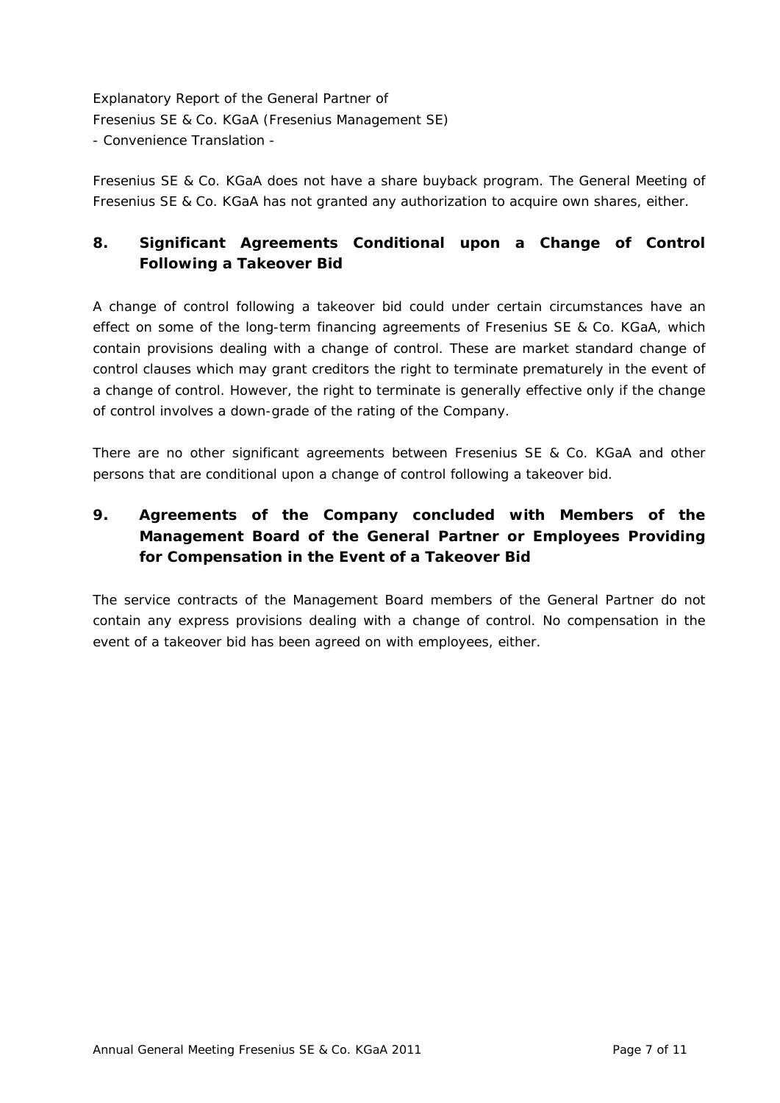Fresenius SE & Co. KGaA does not have a share buyback program. The General Meeting of Fresenius SE & Co. KGaA has not granted any authorization to acquire own shares, either.

# **8. Significant Agreements Conditional upon a Change of Control Following a Takeover Bid**

A change of control following a takeover bid could under certain circumstances have an effect on some of the long-term financing agreements of Fresenius SE & Co. KGaA, which contain provisions dealing with a change of control. These are market standard change of control clauses which may grant creditors the right to terminate prematurely in the event of a change of control. However, the right to terminate is generally effective only if the change of control involves a down-grade of the rating of the Company.

There are no other significant agreements between Fresenius SE & Co. KGaA and other persons that are conditional upon a change of control following a takeover bid.

# **9. Agreements of the Company concluded with Members of the Management Board of the General Partner or Employees Providing for Compensation in the Event of a Takeover Bid**

The service contracts of the Management Board members of the General Partner do not contain any express provisions dealing with a change of control. No compensation in the event of a takeover bid has been agreed on with employees, either.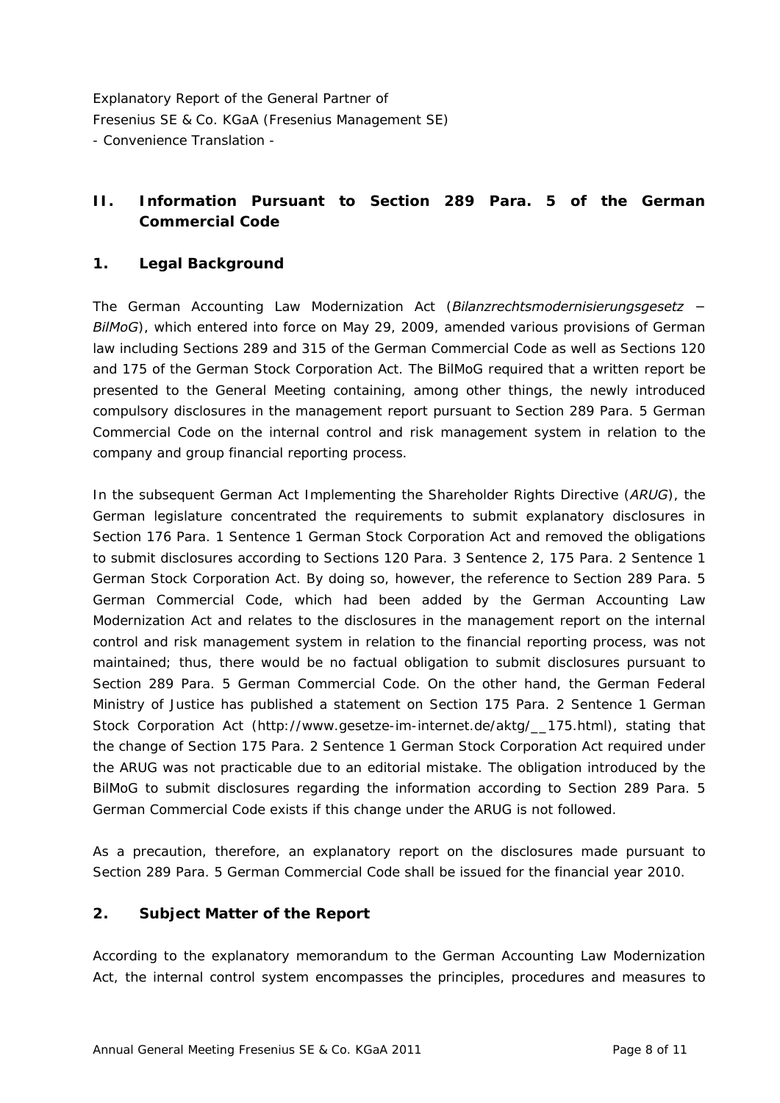## **II. Information Pursuant to Section 289 Para. 5 of the German Commercial Code**

### **1. Legal Background**

The German Accounting Law Modernization Act (*Bilanzrechtsmodernisierungsgesetz − BilMoG*), which entered into force on May 29, 2009, amended various provisions of German law including Sections 289 and 315 of the German Commercial Code as well as Sections 120 and 175 of the German Stock Corporation Act. The BilMoG required that a written report be presented to the General Meeting containing, among other things, the newly introduced compulsory disclosures in the management report pursuant to Section 289 Para. 5 German Commercial Code on the internal control and risk management system in relation to the company and group financial reporting process.

In the subsequent German Act Implementing the Shareholder Rights Directive (*ARUG*), the German legislature concentrated the requirements to submit explanatory disclosures in Section 176 Para. 1 Sentence 1 German Stock Corporation Act and removed the obligations to submit disclosures according to Sections 120 Para. 3 Sentence 2, 175 Para. 2 Sentence 1 German Stock Corporation Act. By doing so, however, the reference to Section 289 Para. 5 German Commercial Code, which had been added by the German Accounting Law Modernization Act and relates to the disclosures in the management report on the internal control and risk management system in relation to the financial reporting process, was not maintained; thus, there would be no factual obligation to submit disclosures pursuant to Section 289 Para. 5 German Commercial Code. On the other hand, the German Federal Ministry of Justice has published a statement on Section 175 Para. 2 Sentence 1 German Stock Corporation Act ([http://www.gesetze-im-internet.de/aktg/\\_\\_175.html\)](http://www.gesetze-im-internet.de/aktg/__175.html), stating that the change of Section 175 Para. 2 Sentence 1 German Stock Corporation Act required under the ARUG was not practicable due to an editorial mistake. The obligation introduced by the BilMoG to submit disclosures regarding the information according to Section 289 Para. 5 German Commercial Code exists if this change under the ARUG is not followed.

As a precaution, therefore, an explanatory report on the disclosures made pursuant to Section 289 Para. 5 German Commercial Code shall be issued for the financial year 2010.

#### **2. Subject Matter of the Report**

According to the explanatory memorandum to the German Accounting Law Modernization Act, the internal control system encompasses the principles, procedures and measures to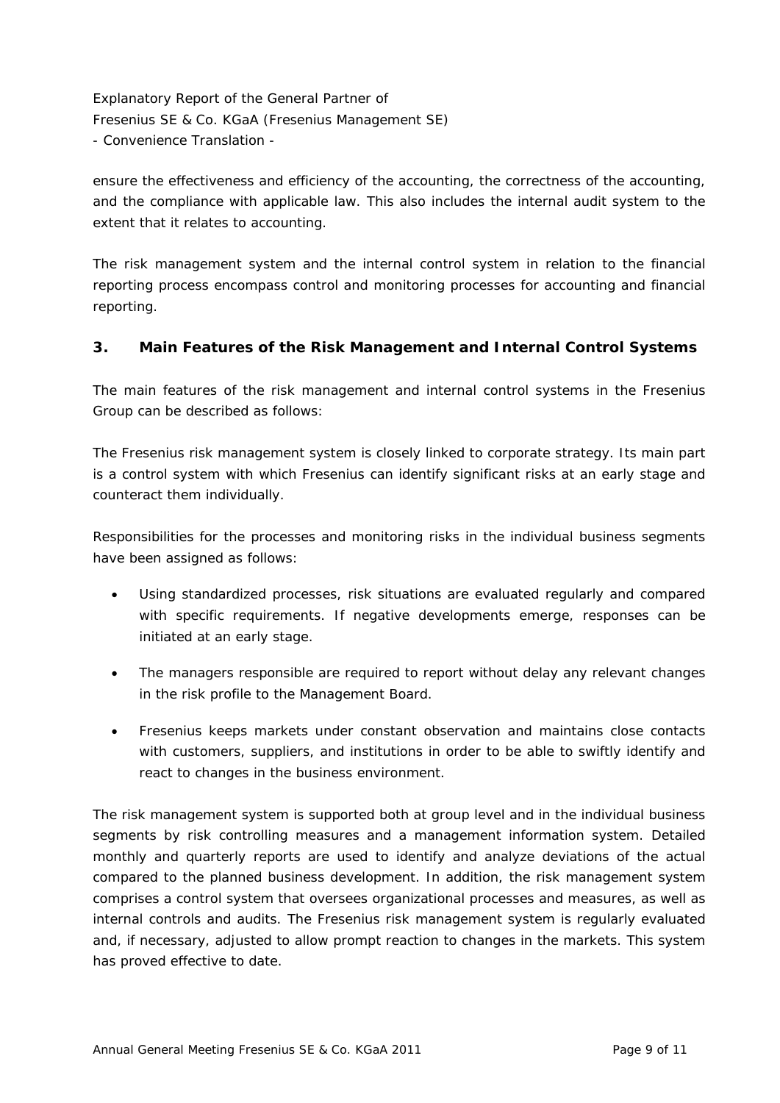ensure the effectiveness and efficiency of the accounting, the correctness of the accounting, and the compliance with applicable law. This also includes the internal audit system to the extent that it relates to accounting.

The risk management system and the internal control system in relation to the financial reporting process encompass control and monitoring processes for accounting and financial reporting.

### **3. Main Features of the Risk Management and Internal Control Systems**

The main features of the risk management and internal control systems in the Fresenius Group can be described as follows:

The Fresenius risk management system is closely linked to corporate strategy. Its main part is a control system with which Fresenius can identify significant risks at an early stage and counteract them individually.

Responsibilities for the processes and monitoring risks in the individual business segments have been assigned as follows:

- Using standardized processes, risk situations are evaluated regularly and compared with specific requirements. If negative developments emerge, responses can be initiated at an early stage.
- The managers responsible are required to report without delay any relevant changes in the risk profile to the Management Board.
- Fresenius keeps markets under constant observation and maintains close contacts with customers, suppliers, and institutions in order to be able to swiftly identify and react to changes in the business environment.

The risk management system is supported both at group level and in the individual business segments by risk controlling measures and a management information system. Detailed monthly and quarterly reports are used to identify and analyze deviations of the actual compared to the planned business development. In addition, the risk management system comprises a control system that oversees organizational processes and measures, as well as internal controls and audits. The Fresenius risk management system is regularly evaluated and, if necessary, adjusted to allow prompt reaction to changes in the markets. This system has proved effective to date.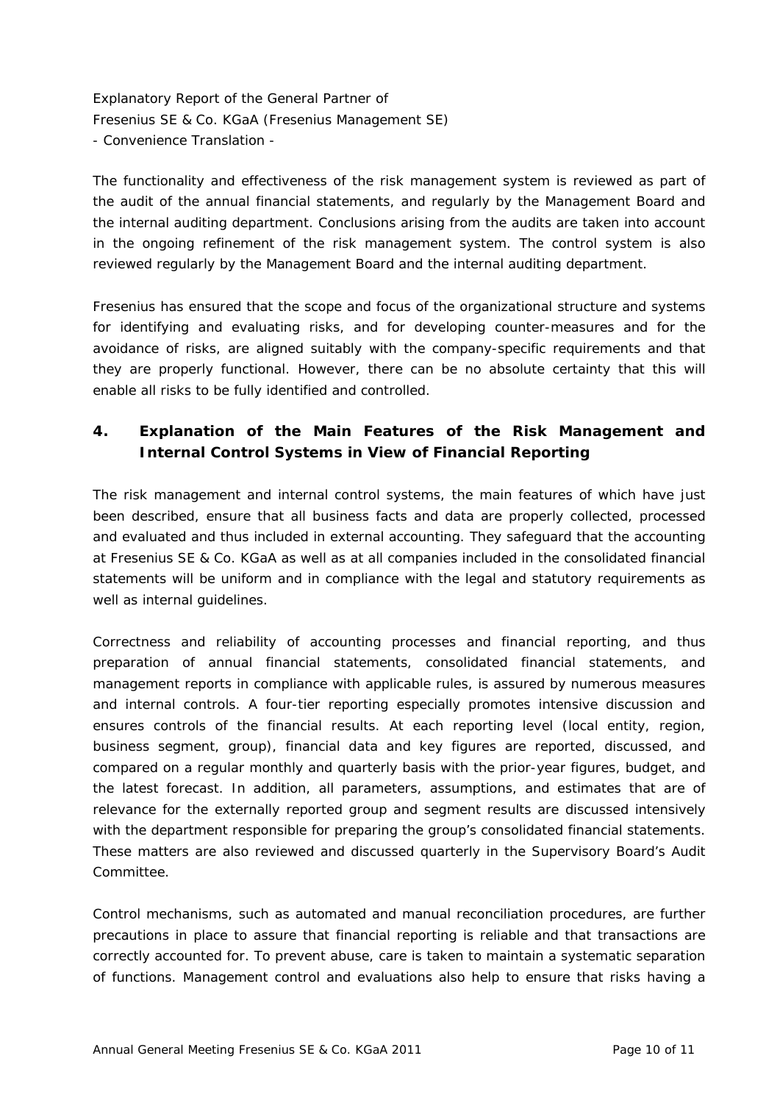The functionality and effectiveness of the risk management system is reviewed as part of the audit of the annual financial statements, and regularly by the Management Board and the internal auditing department. Conclusions arising from the audits are taken into account in the ongoing refinement of the risk management system. The control system is also reviewed regularly by the Management Board and the internal auditing department.

Fresenius has ensured that the scope and focus of the organizational structure and systems for identifying and evaluating risks, and for developing counter-measures and for the avoidance of risks, are aligned suitably with the company-specific requirements and that they are properly functional. However, there can be no absolute certainty that this will enable all risks to be fully identified and controlled.

## **4. Explanation of the Main Features of the Risk Management and Internal Control Systems in View of Financial Reporting**

The risk management and internal control systems, the main features of which have just been described, ensure that all business facts and data are properly collected, processed and evaluated and thus included in external accounting. They safeguard that the accounting at Fresenius SE & Co. KGaA as well as at all companies included in the consolidated financial statements will be uniform and in compliance with the legal and statutory requirements as well as internal quidelines.

Correctness and reliability of accounting processes and financial reporting, and thus preparation of annual financial statements, consolidated financial statements, and management reports in compliance with applicable rules, is assured by numerous measures and internal controls. A four-tier reporting especially promotes intensive discussion and ensures controls of the financial results. At each reporting level (local entity, region, business segment, group), financial data and key figures are reported, discussed, and compared on a regular monthly and quarterly basis with the prior-year figures, budget, and the latest forecast. In addition, all parameters, assumptions, and estimates that are of relevance for the externally reported group and segment results are discussed intensively with the department responsible for preparing the group's consolidated financial statements. These matters are also reviewed and discussed quarterly in the Supervisory Board's Audit Committee.

Control mechanisms, such as automated and manual reconciliation procedures, are further precautions in place to assure that financial reporting is reliable and that transactions are correctly accounted for. To prevent abuse, care is taken to maintain a systematic separation of functions. Management control and evaluations also help to ensure that risks having a